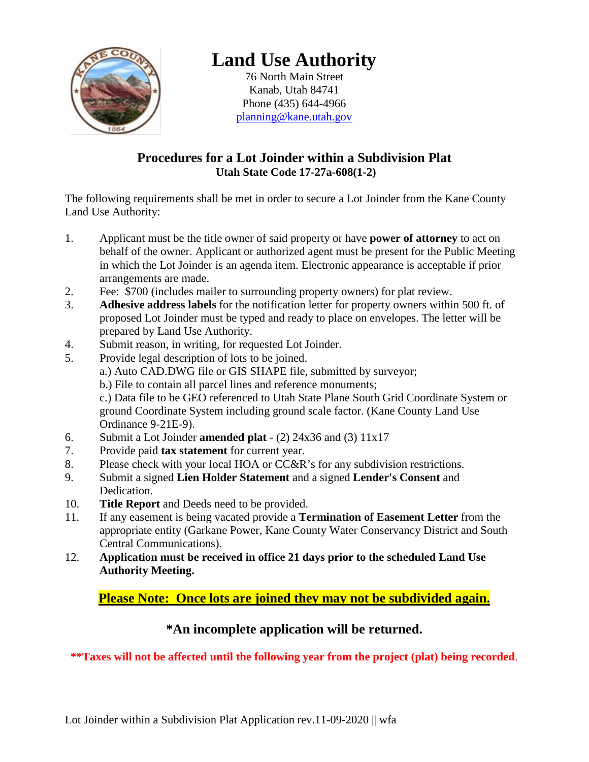

# **Land Use Authority**

76 North Main Street Kanab, Utah 84741 Phone (435) 644-4966 [planning@kane.utah.gov](mailto:planning@kane.utah.gov)

## **Procedures for a Lot Joinder within a Subdivision Plat Utah State Code 17-27a-608(1-2)**

The following requirements shall be met in order to secure a Lot Joinder from the Kane County Land Use Authority:

- 1. Applicant must be the title owner of said property or have **power of attorney** to act on behalf of the owner. Applicant or authorized agent must be present for the Public Meeting in which the Lot Joinder is an agenda item. Electronic appearance is acceptable if prior arrangements are made.
- 2. Fee: \$700 (includes mailer to surrounding property owners) for plat review.
- 3. **Adhesive address labels** for the notification letter for property owners within 500 ft. of proposed Lot Joinder must be typed and ready to place on envelopes. The letter will be prepared by Land Use Authority.
- 4. Submit reason, in writing, for requested Lot Joinder.
- 5. Provide legal description of lots to be joined.
	- a.) Auto CAD.DWG file or GIS SHAPE file, submitted by surveyor;
	- b.) File to contain all parcel lines and reference monuments;

c.) Data file to be GEO referenced to Utah State Plane South Grid Coordinate System or ground Coordinate System including ground scale factor. (Kane County Land Use Ordinance 9-21E-9).

- 6. Submit a Lot Joinder **amended plat** (2) 24x36 and (3) 11x17
- 7. Provide paid **tax statement** for current year.
- 8. Please check with your local HOA or CC&R's for any subdivision restrictions.
- 9. Submit a signed **Lien Holder Statement** and a signed **Lender's Consent** and Dedication.
- 10. **Title Report** and Deeds need to be provided.
- 11. If any easement is being vacated provide a **Termination of Easement Letter** from the appropriate entity (Garkane Power, Kane County Water Conservancy District and South Central Communications).
- 12. **Application must be received in office 21 days prior to the scheduled Land Use Authority Meeting.**

**Please Note: Once lots are joined they may not be subdivided again.**

## **\*An incomplete application will be returned.**

**\*\*Taxes will not be affected until the following year from the project (plat) being recorded**.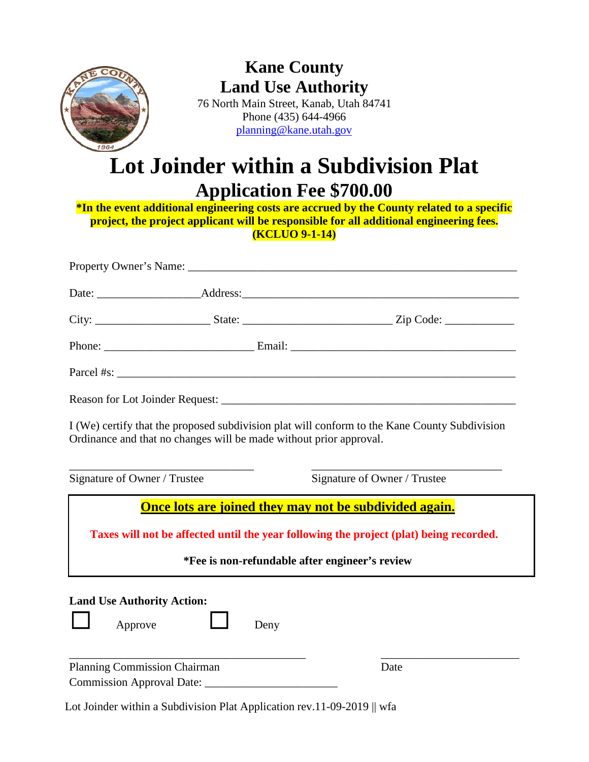

# **Kane County Land Use Authority**

76 North Main Street, Kanab, Utah 84741 Phone (435) 644-4966 [planning@kane.utah.gov](mailto:planning@kane.utah.gov)

# **Lot Joinder within a Subdivision Plat Application Fee \$700.00**

**\*In the event additional engineering costs are accrued by the County related to a specific project, the project applicant will be responsible for all additional engineering fees. (KCLUO 9-1-14)**

|                                              | I (We) certify that the proposed subdivision plat will conform to the Kane County Subdivision<br>Ordinance and that no changes will be made without prior approval.                                |
|----------------------------------------------|----------------------------------------------------------------------------------------------------------------------------------------------------------------------------------------------------|
| Signature of Owner / Trustee                 | Signature of Owner / Trustee                                                                                                                                                                       |
|                                              | Once lots are joined they may not be subdivided again.<br>Taxes will not be affected until the year following the project (plat) being recorded.<br>*Fee is non-refundable after engineer's review |
| <b>Land Use Authority Action:</b><br>Approve | Deny                                                                                                                                                                                               |
| <b>Planning Commission Chairman</b>          | Date                                                                                                                                                                                               |

Lot Joinder within a Subdivision Plat Application rev.11-09-2019 || wfa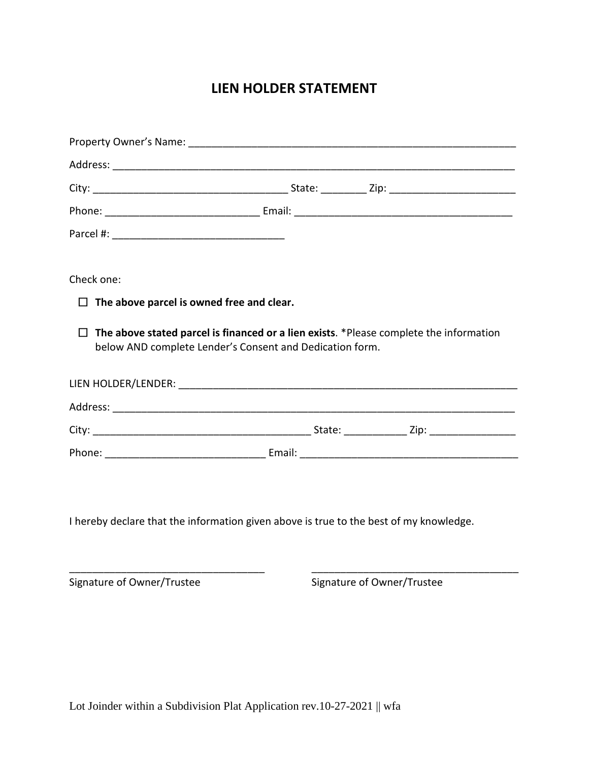# **LIEN HOLDER STATEMENT**

| Check one:                                                                             |  |                                                                                        |  |
|----------------------------------------------------------------------------------------|--|----------------------------------------------------------------------------------------|--|
| The above parcel is owned free and clear.<br>□                                         |  |                                                                                        |  |
| □<br>below AND complete Lender's Consent and Dedication form.                          |  | The above stated parcel is financed or a lien exists. *Please complete the information |  |
|                                                                                        |  |                                                                                        |  |
|                                                                                        |  |                                                                                        |  |
|                                                                                        |  |                                                                                        |  |
|                                                                                        |  |                                                                                        |  |
| I hereby declare that the information given above is true to the best of my knowledge. |  |                                                                                        |  |
| Signature of Owner/Trustee                                                             |  | Signature of Owner/Trustee                                                             |  |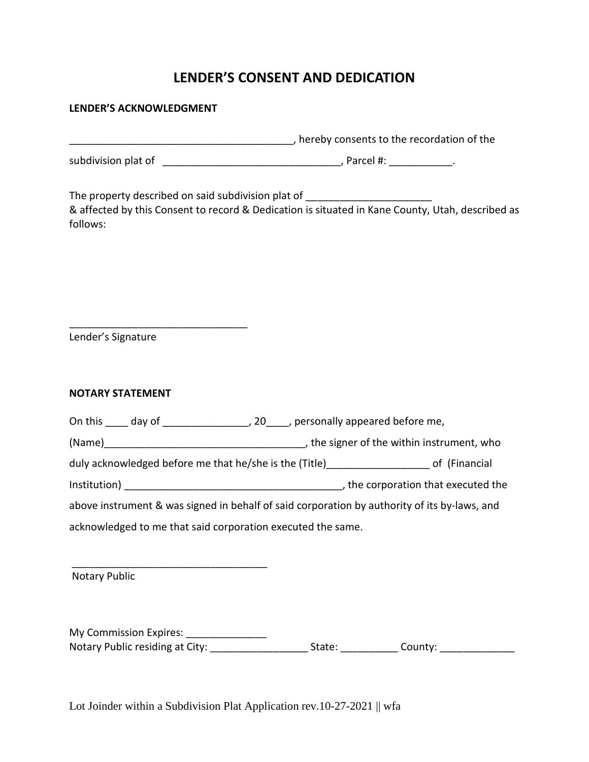## **LENDER'S CONSENT AND DEDICATION**

#### **LENDER'S ACKNOWLEDGMENT**

|                                                             | Thereby consents to the recordation of the entity of the recordation of the                                                                                                          |
|-------------------------------------------------------------|--------------------------------------------------------------------------------------------------------------------------------------------------------------------------------------|
|                                                             |                                                                                                                                                                                      |
| follows:                                                    | The property described on said subdivision plat of _____________________________<br>& affected by this Consent to record & Dedication is situated in Kane County, Utah, described as |
| Lender's Signature                                          |                                                                                                                                                                                      |
| <b>NOTARY STATEMENT</b>                                     |                                                                                                                                                                                      |
|                                                             | On this _____ day of _______________________, 20_____, personally appeared before me,                                                                                                |
|                                                             |                                                                                                                                                                                      |
|                                                             | duly acknowledged before me that he/she is the (Title)______________________ of (Financial                                                                                           |
|                                                             |                                                                                                                                                                                      |
|                                                             | above instrument & was signed in behalf of said corporation by authority of its by-laws, and                                                                                         |
| acknowledged to me that said corporation executed the same. |                                                                                                                                                                                      |
|                                                             |                                                                                                                                                                                      |
| <b>Notary Public</b>                                        |                                                                                                                                                                                      |
|                                                             |                                                                                                                                                                                      |
| My Commission Expires:                                      |                                                                                                                                                                                      |

Notary Public residing at City: \_\_\_\_\_\_\_\_\_\_\_\_\_\_\_\_\_\_\_\_\_\_\_State: \_\_\_\_\_\_\_\_\_\_\_\_\_\_County: \_\_\_\_\_\_\_\_\_\_\_\_\_\_\_\_

Lot Joinder within a Subdivision Plat Application rev.10-27-2021 || wfa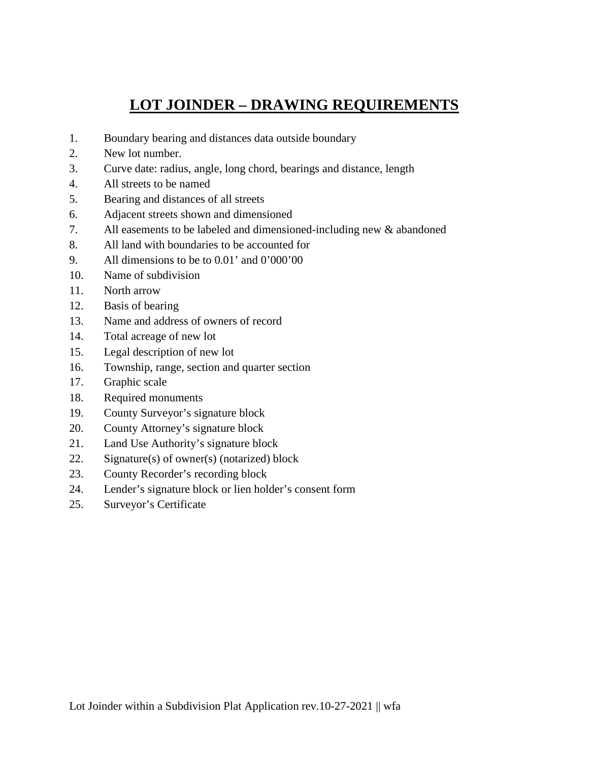# **LOT JOINDER – DRAWING REQUIREMENTS**

- 1. Boundary bearing and distances data outside boundary
- 2. New lot number.
- 3. Curve date: radius, angle, long chord, bearings and distance, length
- 4. All streets to be named
- 5. Bearing and distances of all streets
- 6. Adjacent streets shown and dimensioned
- 7. All easements to be labeled and dimensioned-including new & abandoned
- 8. All land with boundaries to be accounted for
- 9. All dimensions to be to 0.01' and 0'000'00
- 10. Name of subdivision
- 11. North arrow
- 12. Basis of bearing
- 13. Name and address of owners of record
- 14. Total acreage of new lot
- 15. Legal description of new lot
- 16. Township, range, section and quarter section
- 17. Graphic scale
- 18. Required monuments
- 19. County Surveyor's signature block
- 20. County Attorney's signature block
- 21. Land Use Authority's signature block
- 22. Signature(s) of owner(s) (notarized) block
- 23. County Recorder's recording block
- 24. Lender's signature block or lien holder's consent form
- 25. Surveyor's Certificate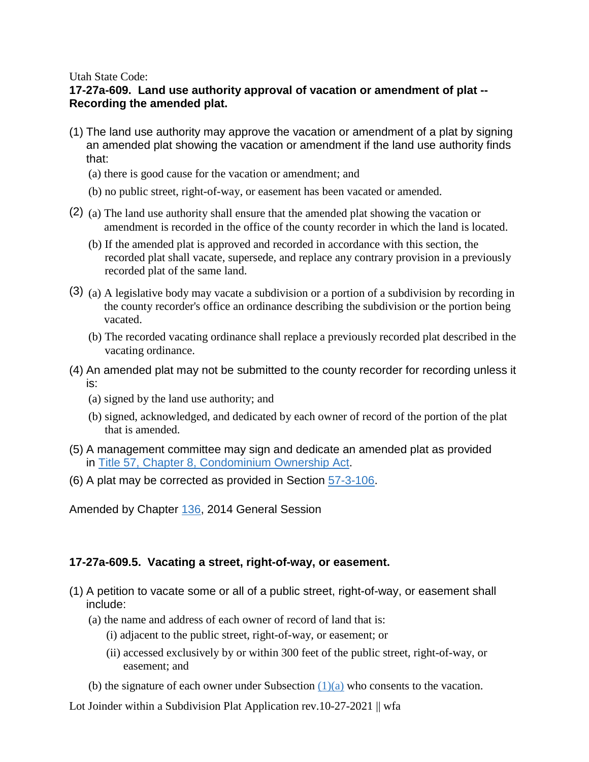#### Utah State Code:

### **17-27a-609. Land use authority approval of vacation or amendment of plat -- Recording the amended plat.**

- (1) The land use authority may approve the vacation or amendment of a plat by signing an amended plat showing the vacation or amendment if the land use authority finds that:
	- (a) there is good cause for the vacation or amendment; and
	- (b) no public street, right-of-way, or easement has been vacated or amended.
- (2) (a) The land use authority shall ensure that the amended plat showing the vacation or amendment is recorded in the office of the county recorder in which the land is located.
	- (b) If the amended plat is approved and recorded in accordance with this section, the recorded plat shall vacate, supersede, and replace any contrary provision in a previously recorded plat of the same land.
- (3) (a) A legislative body may vacate a subdivision or a portion of a subdivision by recording in the county recorder's office an ordinance describing the subdivision or the portion being vacated.
	- (b) The recorded vacating ordinance shall replace a previously recorded plat described in the vacating ordinance.
- (4) An amended plat may not be submitted to the county recorder for recording unless it is:
	- (a) signed by the land use authority; and
	- (b) signed, acknowledged, and dedicated by each owner of record of the portion of the plat that is amended.
- (5) A management committee may sign and dedicate an amended plat as provided in [Title 57, Chapter 8, Condominium Ownership Act.](https://le.utah.gov/xcode/Title57/Chapter8/57-8.html?v=C57-8_1800010118000101)
- (6) A plat may be corrected as provided in Section [57-3-106.](https://le.utah.gov/xcode/Title57/Chapter3/57-3-S106.html?v=C57-3-S106_2014040320150701)

Amended by Chapter [136,](http://le.utah.gov/UtahCode/ChapterLookup.jsp?chap=136&sess=2014GS) 2014 General Session

### **17-27a-609.5. Vacating a street, right-of-way, or easement.**

- (1) A petition to vacate some or all of a public street, right-of-way, or easement shall include:
	- (a) the name and address of each owner of record of land that is:
		- (i) adjacent to the public street, right-of-way, or easement; or
		- (ii) accessed exclusively by or within 300 feet of the public street, right-of-way, or easement; and
	- (b) the signature of each owner under Subsection  $(1)(a)$  who consents to the vacation.

Lot Joinder within a Subdivision Plat Application rev.10-27-2021 || wfa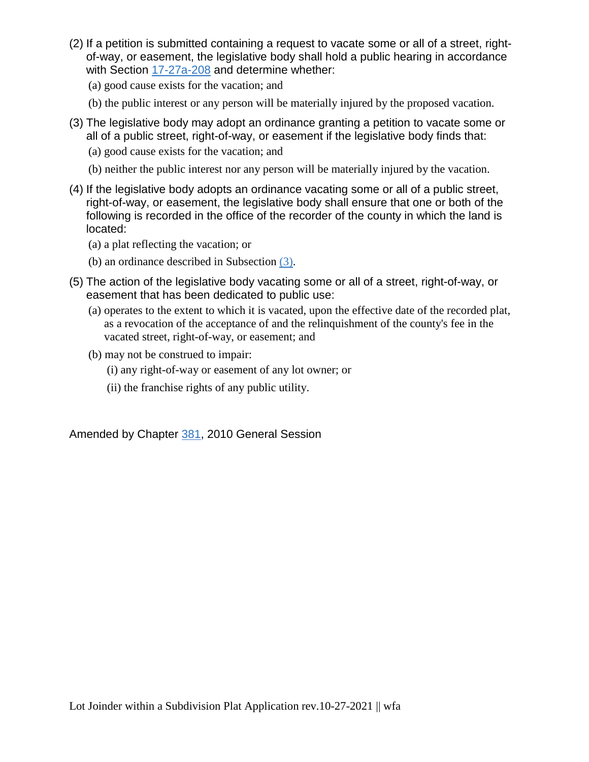- (2) If a petition is submitted containing a request to vacate some or all of a street, rightof-way, or easement, the legislative body shall hold a public hearing in accordance with Section [17-27a-208](https://le.utah.gov/xcode/Title17/Chapter27A/17-27a-S208.html?v=C17-27a-S208_1800010118000101) and determine whether:
	- (a) good cause exists for the vacation; and
	- (b) the public interest or any person will be materially injured by the proposed vacation.
- (3) The legislative body may adopt an ordinance granting a petition to vacate some or all of a public street, right-of-way, or easement if the legislative body finds that:
	- (a) good cause exists for the vacation; and
	- (b) neither the public interest nor any person will be materially injured by the vacation.
- (4) If the legislative body adopts an ordinance vacating some or all of a public street, right-of-way, or easement, the legislative body shall ensure that one or both of the following is recorded in the office of the recorder of the county in which the land is located:
	- (a) a plat reflecting the vacation; or
	- (b) an ordinance described in Subsection [\(3\).](https://le.utah.gov/xcode/Title17/Chapter27A/17-27a-S609.5.html#17-27a-609.5(3))
- (5) The action of the legislative body vacating some or all of a street, right-of-way, or easement that has been dedicated to public use:
	- (a) operates to the extent to which it is vacated, upon the effective date of the recorded plat, as a revocation of the acceptance of and the relinquishment of the county's fee in the vacated street, right-of-way, or easement; and
	- (b) may not be construed to impair:
		- (i) any right-of-way or easement of any lot owner; or
		- (ii) the franchise rights of any public utility.

Amended by Chapter [381,](http://le.utah.gov/UtahCode/ChapterLookup.jsp?chap=381&sess=2010GS) 2010 General Session